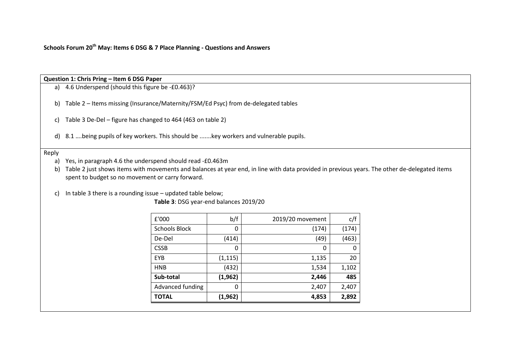**Schools Forum 20th May: Items 6 DSG & 7 Place Planning - Questions and Answers**

# **Question 1: Chris Pring – Item 6 DSG Paper**

a) 4.6 Underspend (should this figure be -£0.463)?

- b) Table 2 Items missing (Insurance/Maternity/FSM/Ed Psyc) from de-delegated tables
- c) Table 3 De-Del figure has changed to 464 (463 on table 2)
- d) 8.1 ….being pupils of key workers. This should be .......key workers and vulnerable pupils.

## Reply

- a) Yes, in paragraph 4.6 the underspend should read -£0.463m
- b) Table 2 just shows items with movements and balances at year end, in line with data provided in previous years. The other de-delegated items spent to budget so no movement or carry forward.

c) In table 3 there is a rounding issue – updated table below;

**Table 3**: DSG year-end balances 2019/20

| £'000                | b/f      | 2019/20 movement | c/f   |
|----------------------|----------|------------------|-------|
| <b>Schools Block</b> | 0        | (174)            | (174) |
| De-Del               | (414)    | (49)             | (463) |
| <b>CSSB</b>          | 0        | 0                |       |
| EYB                  | (1, 115) | 1,135            | 20    |
| <b>HNB</b>           | (432)    | 1,534            | 1,102 |
| Sub-total            | (1, 962) | 2,446            | 485   |
| Advanced funding     | 0        | 2,407            | 2,407 |
| <b>TOTAL</b>         | (1, 962) | 4,853            | 2,892 |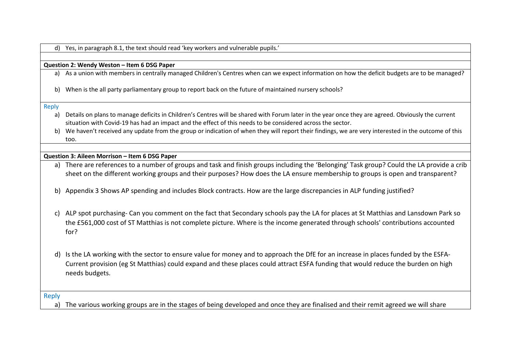d) Yes, in paragraph 8.1, the text should read 'key workers and vulnerable pupils.'

## **Question 2: Wendy Weston – Item 6 DSG Paper**

a) As a union with members in centrally managed Children's Centres when can we expect information on how the deficit budgets are to be managed?

b) When is the all party parliamentary group to report back on the future of maintained nursery schools?

Reply

- a) Details on plans to manage deficits in Children's Centres will be shared with Forum later in the year once they are agreed. Obviously the current situation with Covid-19 has had an impact and the effect of this needs to be considered across the sector.
- b) We haven't received any update from the group or indication of when they will report their findings, we are very interested in the outcome of this too.

**Question 3: Aileen Morrison – Item 6 DSG Paper**

- a) There are references to a number of groups and task and finish groups including the 'Belonging' Task group? Could the LA provide a crib sheet on the different working groups and their purposes? How does the LA ensure membership to groups is open and transparent?
- b) Appendix 3 Shows AP spending and includes Block contracts. How are the large discrepancies in ALP funding justified?
- c) ALP spot purchasing- Can you comment on the fact that Secondary schools pay the LA for places at St Matthias and Lansdown Park so the £561,000 cost of ST Matthias is not complete picture. Where is the income generated through schools' contributions accounted for?
- d) Is the LA working with the sector to ensure value for money and to approach the DfE for an increase in places funded by the ESFA-Current provision (eg St Matthias) could expand and these places could attract ESFA funding that would reduce the burden on high needs budgets.

Reply

a) The various working groups are in the stages of being developed and once they are finalised and their remit agreed we will share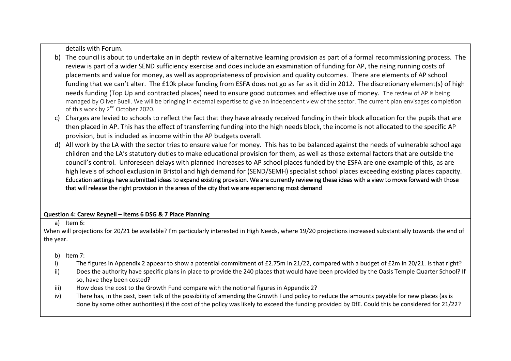details with Forum.

- b) The council is about to undertake an in depth review of alternative learning provision as part of a formal recommissioning process. The review is part of a wider SEND sufficiency exercise and does include an examination of funding for AP, the rising running costs of placements and value for money, as well as appropriateness of provision and quality outcomes. There are elements of AP school funding that we can't alter. The £10k place funding from ESFA does not go as far as it did in 2012. The discretionary element(s) of high needs funding (Top Up and contracted places) need to ensure good outcomes and effective use of money. The review of AP is being managed by Oliver Buell. We will be bringing in external expertise to give an independent view of the sector. The current plan envisages completion of this work by 2<sup>nd</sup> October 2020.
- c) Charges are levied to schools to reflect the fact that they have already received funding in their block allocation for the pupils that are then placed in AP. This has the effect of transferring funding into the high needs block, the income is not allocated to the specific AP provision, but is included as income within the AP budgets overall.
- d) All work by the LA with the sector tries to ensure value for money. This has to be balanced against the needs of vulnerable school age children and the LA's statutory duties to make educational provision for them, as well as those external factors that are outside the council's control. Unforeseen delays with planned increases to AP school places funded by the ESFA are one example of this, as are high levels of school exclusion in Bristol and high demand for (SEND/SEMH) specialist school places exceeding existing places capacity. Education settings have submitted ideas to expand existing provision. We are currently reviewing these ideas with a view to move forward with those that will release the right provision in the areas of the city that we are experiencing most demand

# **Question 4: Carew Reynell – Items 6 DSG & 7 Place Planning**

a) Item 6:

When will projections for 20/21 be available? I'm particularly interested in High Needs, where 19/20 projections increased substantially towards the end of the year.

- b) Item 7:
- i) The figures in Appendix 2 appear to show a potential commitment of £2.75m in 21/22, compared with a budget of £2m in 20/21. Is that right?
- ii) Does the authority have specific plans in place to provide the 240 places that would have been provided by the Oasis Temple Quarter School? If so, have they been costed?
- iii) How does the cost to the Growth Fund compare with the notional figures in Appendix 2?
- iv) There has, in the past, been talk of the possibility of amending the Growth Fund policy to reduce the amounts payable for new places (as is done by some other authorities) if the cost of the policy was likely to exceed the funding provided by DfE. Could this be considered for 21/22?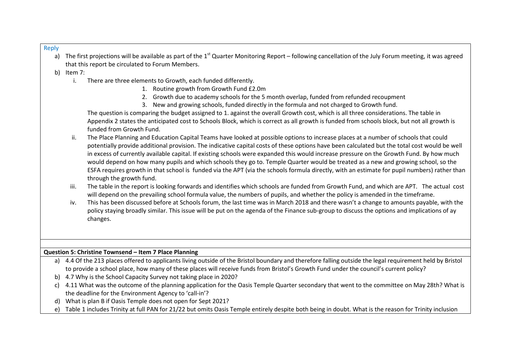#### Reply

- a) The first projections will be available as part of the 1<sup>st</sup> Quarter Monitoring Report following cancellation of the July Forum meeting, it was agreed that this report be circulated to Forum Members.
- b) Item 7:
	- i. There are three elements to Growth, each funded differently.
		- 1. Routine growth from Growth Fund £2.0m
		- 2. Growth due to academy schools for the 5 month overlap, funded from refunded recoupment
		- 3. New and growing schools, funded directly in the formula and not charged to Growth fund.

The question is comparing the budget assigned to 1. against the overall Growth cost, which is all three considerations. The table in Appendix 2 states the anticipated cost to Schools Block, which is correct as all growth is funded from schools block, but not all growth is funded from Growth Fund.

- ii. The Place Planning and Education Capital Teams have looked at possible options to increase places at a number of schools that could potentially provide additional provision. The indicative capital costs of these options have been calculated but the total cost would be well in excess of currently available capital. If existing schools were expanded this would increase pressure on the Growth Fund. By how much would depend on how many pupils and which schools they go to. Temple Quarter would be treated as a new and growing school, so the ESFA requires growth in that school is funded via the APT (via the schools formula directly, with an estimate for pupil numbers) rather than through the growth fund.
- iii. The table in the report is looking forwards and identifies which schools are funded from Growth Fund, and which are APT. The actual cost will depend on the prevailing school formula value, the numbers of pupils, and whether the policy is amended in the timeframe.
- iv. This has been discussed before at Schools forum, the last time was in March 2018 and there wasn't a change to amounts payable, with the policy staying broadly similar. This issue will be put on the agenda of the Finance sub-group to discuss the options and implications of ay changes.

# **Question 5: Christine Townsend – Item 7 Place Planning**

- a) 4.4 Of the 213 places offered to applicants living outside of the Bristol boundary and therefore falling outside the legal requirement held by Bristol to provide a school place, how many of these places will receive funds from Bristol's Growth Fund under the council's current policy?
- b) 4.7 Why is the School Capacity Survey not taking place in 2020?
- c) 4.11 What was the outcome of the planning application for the Oasis Temple Quarter secondary that went to the committee on May 28th? What is the deadline for the Environment Agency to 'call-in'?
- d) What is plan B if Oasis Temple does not open for Sept 2021?
- e) Table 1 includes Trinity at full PAN for 21/22 but omits Oasis Temple entirely despite both being in doubt. What is the reason for Trinity inclusion